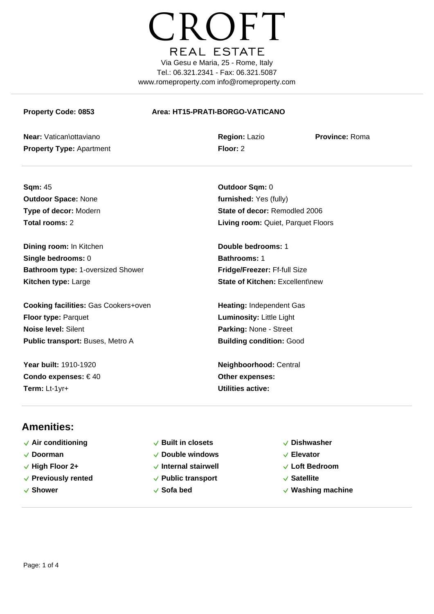

#### **Property Code: 0853 Area: HT15-PRATI-BORGO-VATICANO**

**Near:** Vatican\ottaviano **Region:** Lazio **Province:** Roma **Property Type:** Apartment **Floor:** 2

**Sqm:** 45 **Outdoor Sqm:** 0 **Outdoor Space:** None *furnished:* Yes (fully)

**Dining room:** In Kitchen **Double bedrooms:** 1 **Single bedrooms:** 0 **Bathrooms:** 1 **Bathroom type:** 1-oversized Shower **Fridge/Freezer:** Ff-full Size **Kitchen type:** Large **State of Kitchen:** Excellent\new

**Cooking facilities:** Gas Cookers+oven **Heating:** Independent Gas **Floor type:** Parquet **Luminosity:** Little Light **Noise level:** Silent **Parking:** None - Street **Public transport:** Buses, Metro A **Building condition:** Good

**Condo expenses:** € 40 **Other expenses: Term:** Lt-1yr+ **Utilities active:**

**Type of decor:** Modern **State of decor:** Remodled 2006 **Total rooms:** 2 **Living room:** Quiet, Parquet Floors

**Year built:** 1910-1920 **Neighboorhood:** Central

## **Amenities:**

- $\sqrt{}$  Air conditioning  $\sqrt{}$  Built in closets  $\sqrt{}$  Dishwasher
- 
- 
- **Previously rented Public transport Satellite**
- 
- 
- **Doorman Double windows Elevator**
	-
	-
	-
- 
- 
- **High Floor 2+ Internal stairwell Loft Bedroom**
	-
- **Shower Sofa bed Washing machine**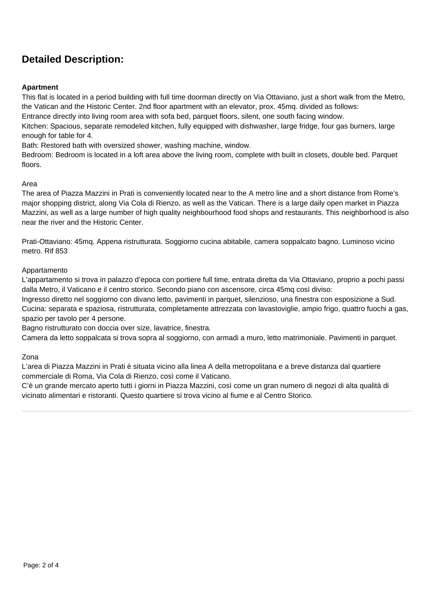# **Detailed Description:**

### **Apartment**

This flat is located in a period building with full time doorman directly on Via Ottaviano, just a short walk from the Metro, the Vatican and the Historic Center. 2nd floor apartment with an elevator, prox. 45mq. divided as follows:

Entrance directly into living room area with sofa bed, parquet floors, silent, one south facing window.

Kitchen: Spacious, separate remodeled kitchen, fully equipped with dishwasher, large fridge, four gas burners, large enough for table for 4.

Bath: Restored bath with oversized shower, washing machine, window.

Bedroom: Bedroom is located in a loft area above the living room, complete with built in closets, double bed. Parquet floors.

#### Area

The area of Piazza Mazzini in Prati is conveniently located near to the A metro line and a short distance from Rome's major shopping district, along Via Cola di Rienzo, as well as the Vatican. There is a large daily open market in Piazza Mazzini, as well as a large number of high quality neighbourhood food shops and restaurants. This neighborhood is also near the river and the Historic Center.

Prati-Ottaviano: 45mq. Appena ristrutturata. Soggiorno cucina abitabile, camera soppalcato bagno. Luminoso vicino metro. Rif 853

#### Appartamento

L'appartamento si trova in palazzo d'epoca con portiere full time, entrata diretta da Via Ottaviano, proprio a pochi passi dalla Metro, il Vaticano e il centro storico. Secondo piano con ascensore, circa 45mq così diviso:

Ingresso diretto nel soggiorno con divano letto, pavimenti in parquet, silenzioso, una finestra con esposizione a Sud. Cucina: separata e spaziosa, ristrutturata, completamente attrezzata con lavastoviglie, ampio frigo, quattro fuochi a gas, spazio per tavolo per 4 persone.

Bagno ristrutturato con doccia over size, lavatrice, finestra.

Camera da letto soppalcata si trova sopra al soggiorno, con armadi a muro, letto matrimoniale. Pavimenti in parquet.

#### Zona

L'area di Piazza Mazzini in Prati è situata vicino alla linea A della metropolitana e a breve distanza dal quartiere commerciale di Roma, Via Cola di Rienzo, così come il Vaticano.

C'è un grande mercato aperto tutti i giorni in Piazza Mazzini, così come un gran numero di negozi di alta qualità di vicinato alimentari e ristoranti. Questo quartiere si trova vicino al fiume e al Centro Storico.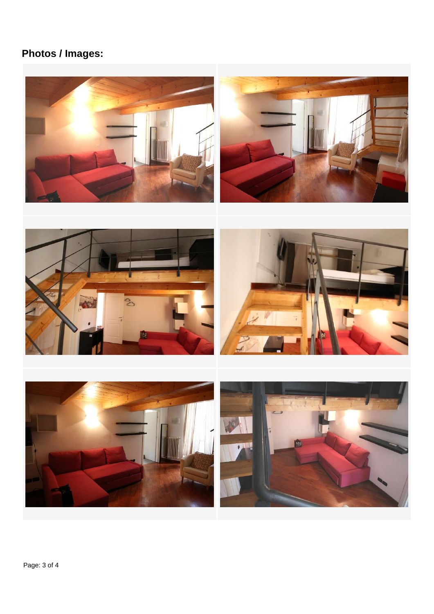# **Photos / Images:**